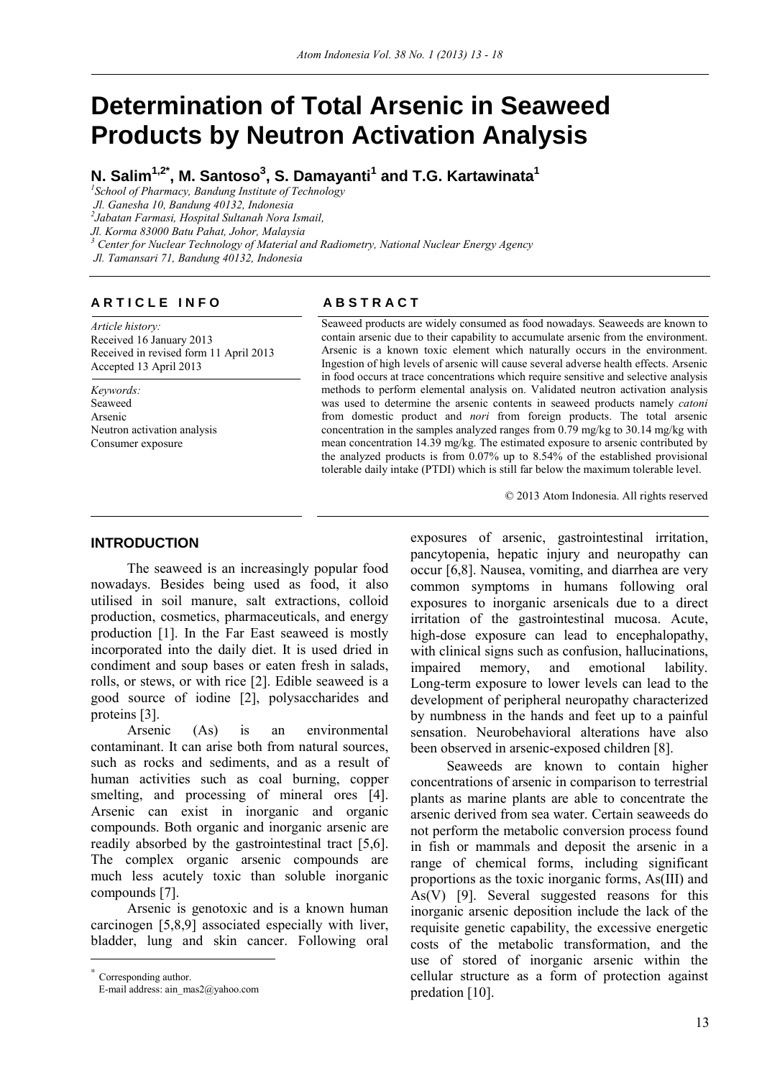# **Determination of Total Arsenic in Seaweed Products by Neutron Activation Analysis**

**N. Salim1,2\*, M. Santoso3 , S. Damayanti<sup>1</sup> and T.G. Kartawinata<sup>1</sup>**

*1 School of Pharmacy, Bandung Institute of Technology* 

 *Jl. Ganesha 10, Bandung 40132, Indonesia* 

*2 Jabatan Farmasi, Hospital Sultanah Nora Ismail,* 

*Jl. Korma 83000 Batu Pahat, Johor, Malaysia* 

<sup>3</sup> Center for Nuclear Technology of Material and Radiometry, National Nuclear Energy Agency

 *Jl. Tamansari 71, Bandung 40132, Indonesia* 

# **ARTICLE INFO** ABSTRACT

*Article history:*  Received 16 January 2013 Received in revised form 11 April 2013 Accepted 13 April 2013

*Keywords:*  Seaweed Arsenic Neutron activation analysis Consumer exposure

Seaweed products are widely consumed as food nowadays. Seaweeds are known to contain arsenic due to their capability to accumulate arsenic from the environment. Arsenic is a known toxic element which naturally occurs in the environment. Ingestion of high levels of arsenic will cause several adverse health effects. Arsenic in food occurs at trace concentrations which require sensitive and selective analysis methods to perform elemental analysis on. Validated neutron activation analysis was used to determine the arsenic contents in seaweed products namely *catoni* from domestic product and *nori* from foreign products. The total arsenic concentration in the samples analyzed ranges from 0.79 mg/kg to 30.14 mg/kg with mean concentration 14.39 mg/kg. The estimated exposure to arsenic contributed by the analyzed products is from  $0.07\%$  up to  $8.54\%$  of the established provisional tolerable daily intake (PTDI) which is still far below the maximum tolerable level.

© 2013 Atom Indonesia. All rights reserved

# **INTRODUCTION**<sup>∗</sup>

The seaweed is an increasingly popular food nowadays. Besides being used as food, it also utilised in soil manure, salt extractions, colloid production, cosmetics, pharmaceuticals, and energy production [1]. In the Far East seaweed is mostly incorporated into the daily diet. It is used dried in condiment and soup bases or eaten fresh in salads, rolls, or stews, or with rice [2]. Edible seaweed is a good source of iodine [2], polysaccharides and proteins [3].

Arsenic (As) is an environmental contaminant. It can arise both from natural sources, such as rocks and sediments, and as a result of human activities such as coal burning, copper smelting, and processing of mineral ores [4]. Arsenic can exist in inorganic and organic compounds. Both organic and inorganic arsenic are readily absorbed by the gastrointestinal tract [5,6]. The complex organic arsenic compounds are much less acutely toxic than soluble inorganic compounds [7].

Arsenic is genotoxic and is a known human carcinogen [5,8,9] associated especially with liver, bladder, lung and skin cancer. Following oral

 $\overline{a}$ 

exposures of arsenic, gastrointestinal irritation, pancytopenia, hepatic injury and neuropathy can occur [6,8]. Nausea, vomiting, and diarrhea are very common symptoms in humans following oral exposures to inorganic arsenicals due to a direct irritation of the gastrointestinal mucosa. Acute, high-dose exposure can lead to encephalopathy, with clinical signs such as confusion, hallucinations, impaired memory, and emotional lability. Long-term exposure to lower levels can lead to the development of peripheral neuropathy characterized by numbness in the hands and feet up to a painful sensation. Neurobehavioral alterations have also been observed in arsenic-exposed children [8].

Seaweeds are known to contain higher concentrations of arsenic in comparison to terrestrial plants as marine plants are able to concentrate the arsenic derived from sea water. Certain seaweeds do not perform the metabolic conversion process found in fish or mammals and deposit the arsenic in a range of chemical forms, including significant proportions as the toxic inorganic forms, As(III) and As(V) [9]. Several suggested reasons for this inorganic arsenic deposition include the lack of the requisite genetic capability, the excessive energetic costs of the metabolic transformation, and the use of stored of inorganic arsenic within the cellular structure as a form of protection against predation [10].

<sup>∗</sup> Corresponding author.

E-mail address: ain\_mas2@yahoo.com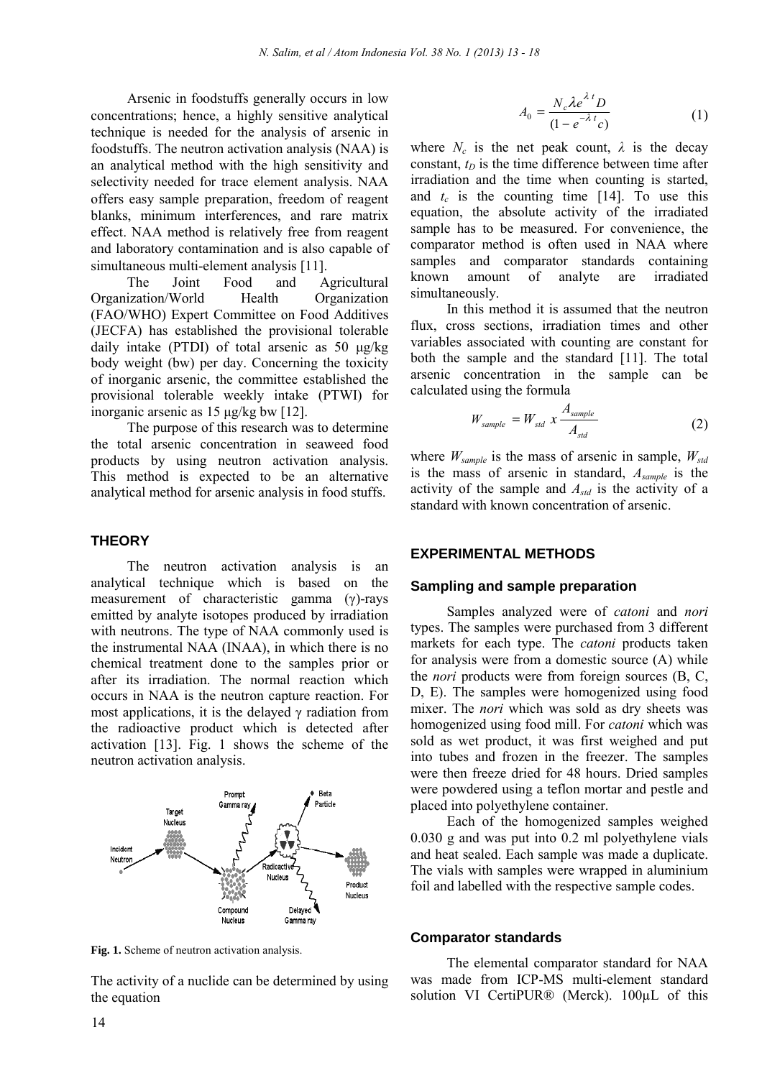Arsenic in foodstuffs generally occurs in low concentrations; hence, a highly sensitive analytical technique is needed for the ana alysis of arsenic in foodstuffs. The neutron activation analysis (NAA) is an analytical method with the h high sensitivity and selectivity needed for trace element analysis. NAA offers easy sample preparation, freedom of reagent blanks, minimum interferences, and rare matrix effect. NAA method is relatively free from reagent and laboratory contamination and is also capable of simultaneous multi-element analysis [11].

The Joint Food and Organization/World Health (FAO/WHO) Expert Committee on Food Additives (JECFA) has established the pr rovisional tolerable daily intake (PTDI) of total arsenic as  $50 \mu g/kg$ body weight (bw) per day. Concerning the toxicity of inorganic arsenic, the committee established the provisional tolerable weekly i intake (PTWI) for inorganic arsenic as 15 µg/kg bw [12]. Agricultural **Organization** 

The purpose of this research was to determine the total arsenic concentration in seaweed food products by using neutron activation analysis. This method is expected to be an alternative analytical method for arsenic ana alysis in food stuffs.

# **THEORY**

The neutron activation analysis is an analytical technique which i is based on the measurement of characteristic gamma  $(\gamma)$ -rays emitted by analyte isotopes produced by irradiation with neutrons. The type of NAA A commonly used is the instrumental NAA (INAA), in which there is no chemical treatment done to the samples prior or after its irradiation. The normal reaction which occurs in NAA is the neutron capture reaction. For most applications, it is the delayed  $\gamma$  radiation from the radioactive product which h is detected after activation  $[13]$ . Fig. 1 shows the scheme of the neutron activation analysis.



Fig. 1. Scheme of neutron activation analysis.

The activity of a nuclide can be d determined by using the equation

$$
A_0 = \frac{N_c \lambda e^{\lambda t} D}{(1 - e^{-\lambda t} c)} \tag{1}
$$

where  $N_c$  is the net peak count,  $\lambda$  is the decay constant,  $t_D$  is the time difference between time after irradiation and the time when counting is started, and  $t_c$  is the counting time [14]. To use this equation, the absolute activity of the irradiated sample has to be measured. For convenience, the comparator method is often used in NAA where samples and comparator standards containing known amount of simultaneously. analyte are irradiated

In this method it i s assumed that the neutron flux, cross sections, irradiation times and other variables associated with h counting are constant for both the sample and the standard [11]. The total arsenic concentration in the sample can be calculated using the formula

$$
W_{sample} = W_{std} \times \frac{A_{sample}}{A_{std}}
$$
 (2)

where  $W_{sample}$  is the mass of arsenic in sample,  $W_{std}$ is the mass of arsenic in standard, *Asample* is the activity of the sample and  $A_{std}$  is the activity of a standard with known con centration of arsenic.

#### **EXPERIMENTAL METHODS**

#### **Sampling and sample preparation**

Samples analyzed were of *catoni* and *nori* types. The samples were purchased from 3 different markets for each type. The *catoni* products taken for analysis were from a domestic source (A) while the *nori* products were from foreign sources (B, C, D, E). The samples wer e homogenized using food mixer. The *nori* which was sold as dry sheets was homogenized using food mill. For *catoni* which was sold as wet product, it was first weighed and put into tubes and frozen in the freezer. The samples were then freeze dried for 48 hours. Dried samples were powdered using a teflon mortar and pestle and placed into polyethylene container.

Each of the homogenized samples weighed 0.030 g and was put into 0.2 ml polyethylene vials and heat sealed. Each sample was made a duplicate. The vials with samples were wrapped in aluminium foil and labelled with the respective sample codes.

#### **Comparator standards**

The elemental comparator standard for NAA was made from ICP-MS multi-element standard solution VI CertiPUR® (Merck). 100μL of this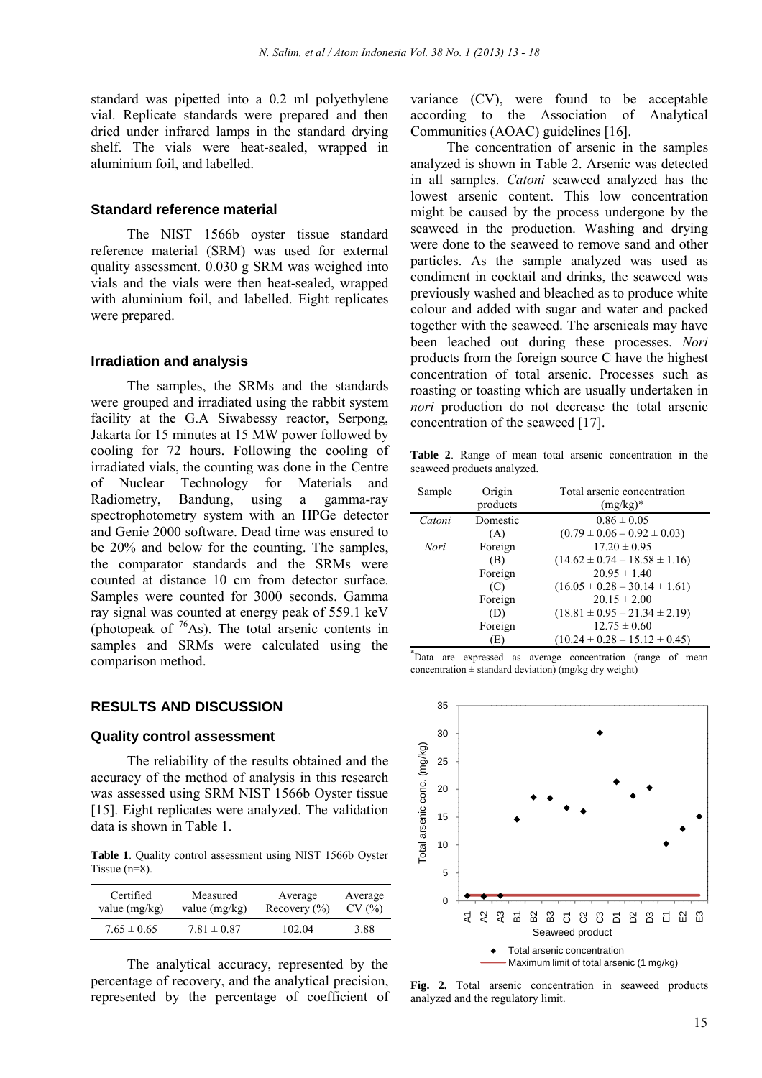standard was pipetted into a 0.2 ml polyethylene vial. Replicate standards were prepared and then dried under infrared lamps in the standard drying shelf. The vials were heat-sealed, wrapped in aluminium foil, and labelled.

### **Standard reference material**

The NIST 1566b oyster tissue standard reference material (SRM) was used for external quality assessment. 0.030 g SRM was weighed into vials and the vials were then heat-sealed, wrapped with aluminium foil, and labelled. Eight replicates were prepared.

#### **Irradiation and analysis**

The samples, the SRMs and the standards were grouped and irradiated using the rabbit system facility at the G.A Siwabessy reactor, Serpong, Jakarta for 15 minutes at 15 MW power followed by cooling for 72 hours. Following the cooling of irradiated vials, the counting was done in the Centre of Nuclear Technology for Materials and Radiometry, Bandung, using a gamma-ray spectrophotometry system with an HPGe detector and Genie 2000 software. Dead time was ensured to be 20% and below for the counting. The samples, the comparator standards and the SRMs were counted at distance 10 cm from detector surface. Samples were counted for 3000 seconds. Gamma ray signal was counted at energy peak of 559.1 keV (photopeak of  $^{76}$ As). The total arsenic contents in samples and SRMs were calculated using the comparison method.

### **RESULTS AND DISCUSSION**

#### **Quality control assessment**

The reliability of the results obtained and the accuracy of the method of analysis in this research was assessed using SRM NIST 1566b Oyster tissue [15]. Eight replicates were analyzed. The validation data is shown in Table 1.

Table 1. Quality control assessment using NIST 1566b Oyster Tissue (n=8).

| Certified       | Measured        | Average                             | Average |
|-----------------|-----------------|-------------------------------------|---------|
| value $(mg/kg)$ | value $(mg/kg)$ | Recovery $\left(\frac{9}{0}\right)$ | CV(%)   |
| $7.65 \pm 0.65$ | $7.81 \pm 0.87$ | 102.04                              | 3.88    |

 The analytical accuracy, represented by the percentage of recovery, and the analytical precision, represented by the percentage of coefficient of variance (CV), were found to be acceptable according to the Association of Analytical Communities (AOAC) guidelines [16].

The concentration of arsenic in the samples analyzed is shown in Table 2. Arsenic was detected in all samples. *Catoni* seaweed analyzed has the lowest arsenic content. This low concentration might be caused by the process undergone by the seaweed in the production. Washing and drying were done to the seaweed to remove sand and other particles. As the sample analyzed was used as condiment in cocktail and drinks, the seaweed was previously washed and bleached as to produce white colour and added with sugar and water and packed together with the seaweed. The arsenicals may have been leached out during these processes. *Nori* products from the foreign source C have the highest concentration of total arsenic. Processes such as roasting or toasting which are usually undertaken in *nori* production do not decrease the total arsenic concentration of the seaweed [17].

**Table 2**. Range of mean total arsenic concentration in the seaweed products analyzed.

| Sample | Origin   | Total arsenic concentration         |  |
|--------|----------|-------------------------------------|--|
|        | products | $(mg/kg)^*$                         |  |
| Catoni | Domestic | $0.86 \pm 0.05$                     |  |
|        | (A)      | $(0.79 \pm 0.06 - 0.92 \pm 0.03)$   |  |
| Nori   | Foreign  | $17.20 \pm 0.95$                    |  |
|        | (B)      | $(14.62 \pm 0.74 - 18.58 \pm 1.16)$ |  |
|        | Foreign  | $20.95 \pm 1.40$                    |  |
|        | (C)      | $(16.05 \pm 0.28 - 30.14 \pm 1.61)$ |  |
|        | Foreign  | $20.15 \pm 2.00$                    |  |
|        | (D)      | $(18.81 \pm 0.95 - 21.34 \pm 2.19)$ |  |
|        | Foreign  | $12.75 \pm 0.60$                    |  |
|        | E        | $(10.24 \pm 0.28 - 15.12 \pm 0.45)$ |  |

\* Data are expressed as average concentration (range of mean concentration  $\pm$  standard deviation) (mg/kg dry weight)



**Fig. 2.** Total arsenic concentration in seaweed products analyzed and the regulatory limit.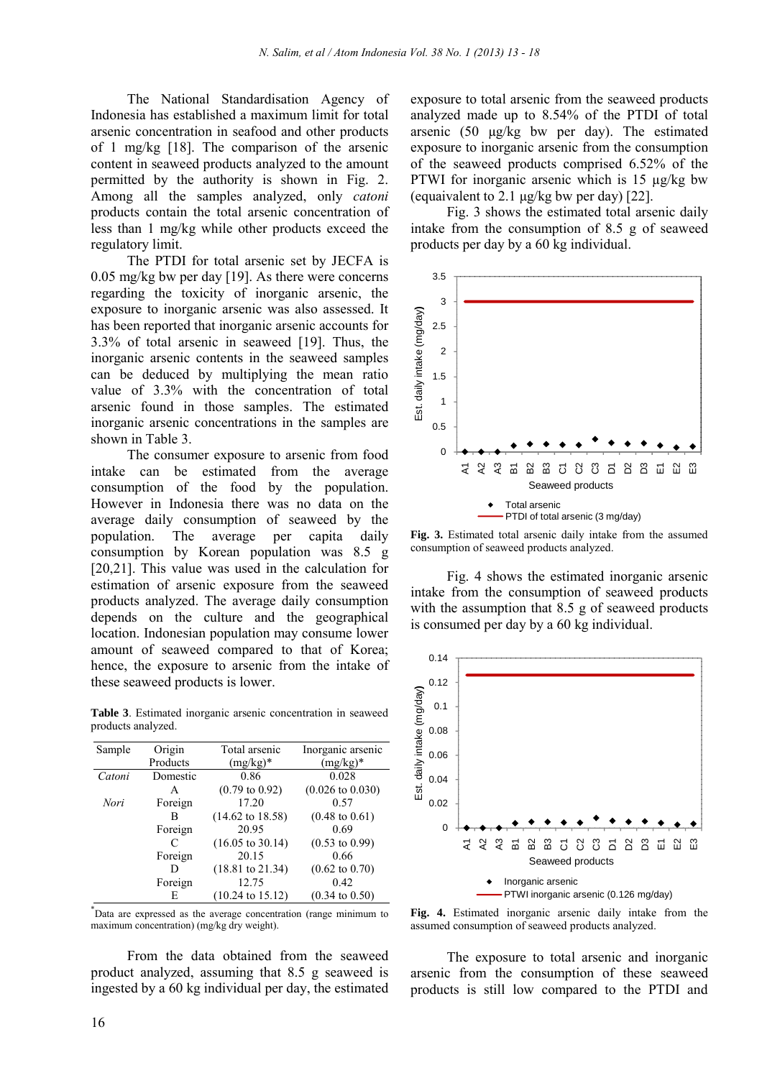The National Standardisation Agency of Indonesia has established a maximum limit for total arsenic concentration in seafood and other products of 1 mg/kg [18]. The comparison of the arsenic content in seaweed products analyzed to the amount permitted by the authority is shown in Fig. 2. Among all the samples analyzed, only *catoni*  products contain the total arsenic concentration of less than 1 mg/kg while other products exceed the regulatory limit.

The PTDI for total arsenic set by JECFA is 0.05 mg/kg bw per day [19]. As there were concerns regarding the toxicity of inorganic arsenic, the exposure to inorganic arsenic was also assessed. It has been reported that inorganic arsenic accounts for 3.3% of total arsenic in seaweed [19]. Thus, the inorganic arsenic contents in the seaweed samples can be deduced by multiplying the mean ratio value of 3.3% with the concentration of total arsenic found in those samples. The estimated inorganic arsenic concentrations in the samples are shown in Table 3.

The consumer exposure to arsenic from food intake can be estimated from the average consumption of the food by the population. However in Indonesia there was no data on the average daily consumption of seaweed by the population. The average per capita daily consumption by Korean population was 8.5 g [20,21]. This value was used in the calculation for estimation of arsenic exposure from the seaweed products analyzed. The average daily consumption depends on the culture and the geographical location. Indonesian population may consume lower amount of seaweed compared to that of Korea; hence, the exposure to arsenic from the intake of these seaweed products is lower.

**Table 3**. Estimated inorganic arsenic concentration in seaweed products analyzed.

| Sample | Origin   | Total arsenic               | Inorganic arsenic           |
|--------|----------|-----------------------------|-----------------------------|
|        | Products | $(mg/kg)^*$                 | $(mg/kg)^*$                 |
| Catoni | Domestic | 0.86                        | 0.028                       |
|        | A        | $(0.79 \text{ to } 0.92)$   | $(0.026 \text{ to } 0.030)$ |
| Nori   | Foreign  | 17.20                       | 0.57                        |
|        | в        | $(14.62 \text{ to } 18.58)$ | $(0.48 \text{ to } 0.61)$   |
|        | Foreign  | 20.95                       | 0.69                        |
|        | C        | $(16.05 \text{ to } 30.14)$ | $(0.53 \text{ to } 0.99)$   |
|        | Foreign  | 20.15                       | 0.66                        |
|        | D        | $(18.81 \text{ to } 21.34)$ | $(0.62 \text{ to } 0.70)$   |
|        | Foreign  | 12.75                       | 0.42                        |
|        | E        | $(10.24 \text{ to } 15.12)$ | $(0.34 \text{ to } 0.50)$   |

\* Data are expressed as the average concentration (range minimum to maximum concentration) (mg/kg dry weight).

From the data obtained from the seaweed product analyzed, assuming that 8.5 g seaweed is ingested by a 60 kg individual per day, the estimated

exposure to total arsenic from the seaweed products analyzed made up to 8.54% of the PTDI of total arsenic (50 µg/kg bw per day). The estimated exposure to inorganic arsenic from the consumption of the seaweed products comprised 6.52% of the PTWI for inorganic arsenic which is 15 µg/kg bw (equaivalent to 2.1 µg/kg bw per day) [22].

Fig. 3 shows the estimated total arsenic daily intake from the consumption of 8.5 g of seaweed products per day by a 60 kg individual.



**Fig. 3.** Estimated total arsenic daily intake from the assumed consumption of seaweed products analyzed.

Fig. 4 shows the estimated inorganic arsenic intake from the consumption of seaweed products with the assumption that 8.5 g of seaweed products is consumed per day by a 60 kg individual.



**Fig. 4.** Estimated inorganic arsenic daily intake from the assumed consumption of seaweed products analyzed.

The exposure to total arsenic and inorganic arsenic from the consumption of these seaweed products is still low compared to the PTDI and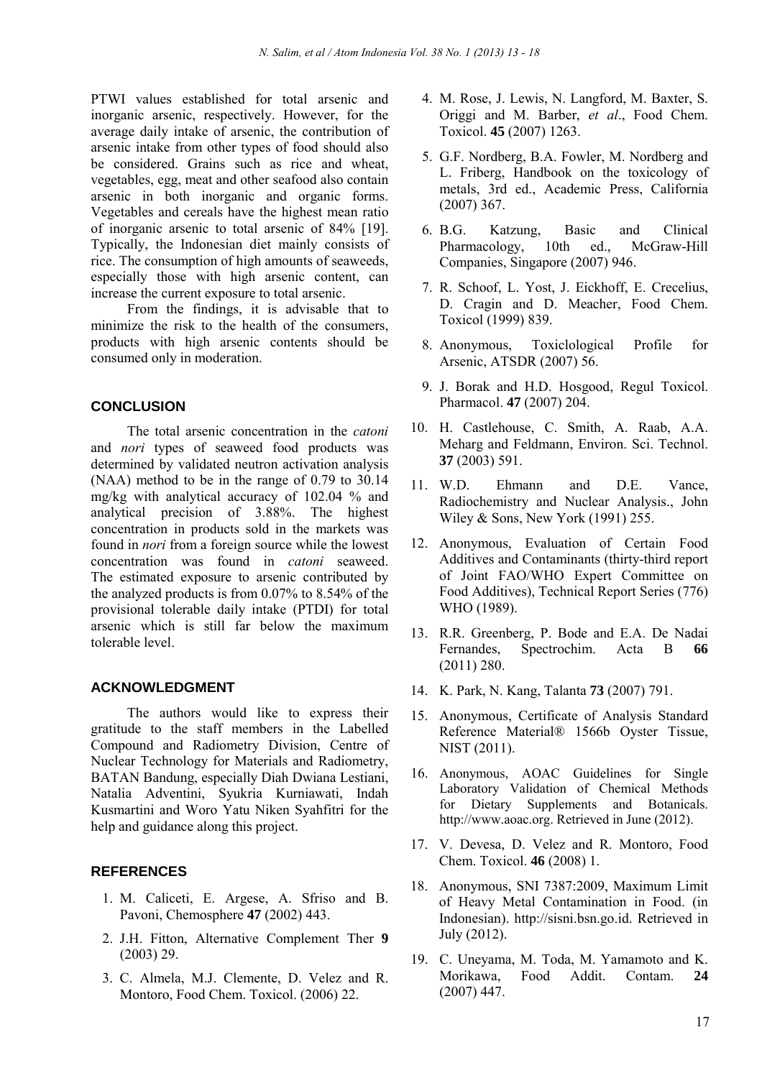PTWI values established for total arsenic and inorganic arsenic, respectively. However, for the average daily intake of arsenic, the contribution of arsenic intake from other types of food should also be considered. Grains such as rice and wheat, vegetables, egg, meat and other seafood also contain arsenic in both inorganic and organic forms. Vegetables and cereals have the highest mean ratio of inorganic arsenic to total arsenic of 84% [19]. Typically, the Indonesian diet mainly consists of rice. The consumption of high amounts of seaweeds, especially those with high arsenic content, can increase the current exposure to total arsenic.

From the findings, it is advisable that to minimize the risk to the health of the consumers, products with high arsenic contents should be consumed only in moderation.

#### **CONCLUSION**

The total arsenic concentration in the *catoni*  and *nori* types of seaweed food products was determined by validated neutron activation analysis (NAA) method to be in the range of 0.79 to 30.14 mg/kg with analytical accuracy of 102.04 % and analytical precision of 3.88%. The highest concentration in products sold in the markets was found in *nori* from a foreign source while the lowest concentration was found in *catoni* seaweed. The estimated exposure to arsenic contributed by the analyzed products is from 0.07% to 8.54% of the provisional tolerable daily intake (PTDI) for total arsenic which is still far below the maximum tolerable level.

#### **ACKNOWLEDGMENT**

The authors would like to express their gratitude to the staff members in the Labelled Compound and Radiometry Division, Centre of Nuclear Technology for Materials and Radiometry, BATAN Bandung, especially Diah Dwiana Lestiani, Natalia Adventini, Syukria Kurniawati, Indah Kusmartini and Woro Yatu Niken Syahfitri for the help and guidance along this project.

# **REFERENCES**

- 1. M. Caliceti, E. Argese, A. Sfriso and B. Pavoni, Chemosphere **47** (2002) 443.
- 2. J.H. Fitton, Alternative Complement Ther **9** (2003) 29.
- 3. C. Almela, M.J. Clemente, D. Velez and R. Montoro, Food Chem. Toxicol. (2006) 22.
- 4. M. Rose, J. Lewis, N. Langford, M. Baxter, S. Origgi and M. Barber, *et al*., Food Chem. Toxicol. **45** (2007) 1263.
- 5. G.F. Nordberg, B.A. Fowler, M. Nordberg and L. Friberg, Handbook on the toxicology of metals, 3rd ed., Academic Press, California (2007) 367.
- 6. B.G. Katzung, Basic and Clinical Pharmacology, 10th ed., McGraw-Hill Companies, Singapore (2007) 946.
- 7. R. Schoof, L. Yost, J. Eickhoff, E. Crecelius, D. Cragin and D. Meacher, Food Chem. Toxicol (1999) 839.
- 8. Anonymous, Toxiclological Profile for Arsenic, ATSDR (2007) 56.
- 9. J. Borak and H.D. Hosgood, Regul Toxicol. Pharmacol. **47** (2007) 204.
- 10. H. Castlehouse, C. Smith, A. Raab, A.A. Meharg and Feldmann, Environ. Sci. Technol. **37** (2003) 591.
- 11. W.D. Ehmann and D.E. Vance, Radiochemistry and Nuclear Analysis., John Wiley & Sons, New York (1991) 255.
- 12. Anonymous, Evaluation of Certain Food Additives and Contaminants (thirty-third report of Joint FAO/WHO Expert Committee on Food Additives), Technical Report Series (776) WHO (1989).
- 13. R.R. Greenberg, P. Bode and E.A. De Nadai Fernandes, Spectrochim. Acta B **66**  (2011) 280.
- 14. K. Park, N. Kang, Talanta **73** (2007) 791.
- 15. Anonymous, Certificate of Analysis Standard Reference Material® 1566b Oyster Tissue, NIST (2011).
- 16. Anonymous, AOAC Guidelines for Single Laboratory Validation of Chemical Methods for Dietary Supplements and Botanicals. http://www.aoac.org. Retrieved in June (2012).
- 17. V. Devesa, D. Velez and R. Montoro, Food Chem. Toxicol. **46** (2008) 1.
- 18. Anonymous, SNI 7387:2009, Maximum Limit of Heavy Metal Contamination in Food. (in Indonesian). http://sisni.bsn.go.id. Retrieved in July (2012).
- 19. C. Uneyama, M. Toda, M. Yamamoto and K. Morikawa, Food Addit. Contam. **24** (2007) 447.